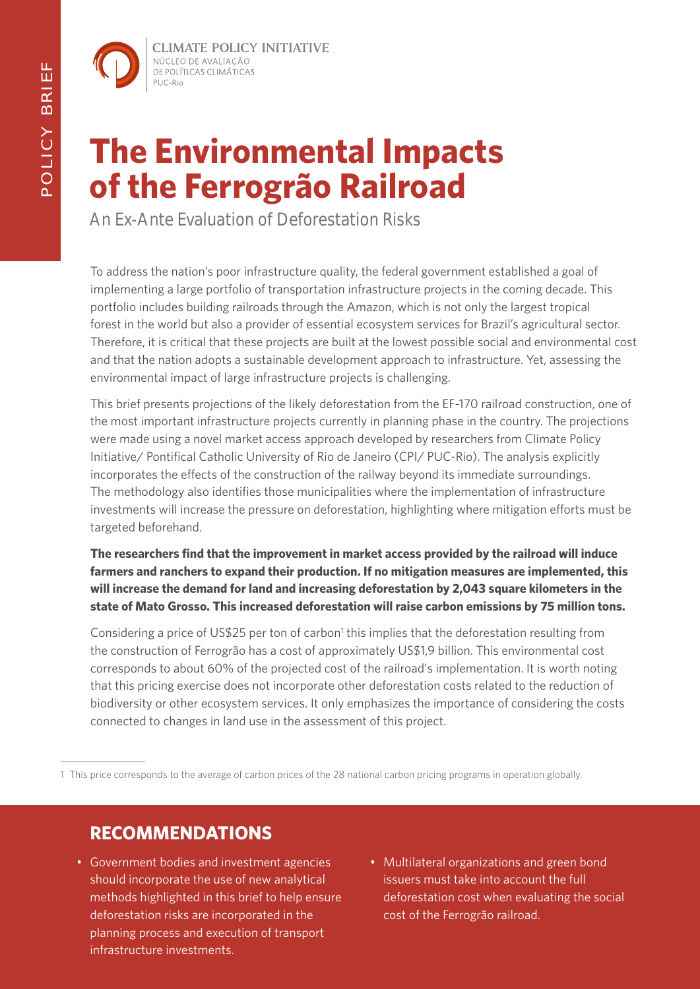**CLIMATE POLICY INITIATIVE** NÚCLEO DE AVALIAÇÃO DE POLÍTICAS CLIMÁTICAS PUC-Rio

# **The Environmental Impacts of the Ferrogrão Railroad**

An Ex-Ante Evaluation of Deforestation Risks

To address the nation's poor infrastructure quality, the federal government established a goal of implementing a large portfolio of transportation infrastructure projects in the coming decade. This portfolio includes building railroads through the Amazon, which is not only the largest tropical forest in the world but also a provider of essential ecosystem services for Brazil's agricultural sector. Therefore, it is critical that these projects are built at the lowest possible social and environmental cost and that the nation adopts a sustainable development approach to infrastructure. Yet, assessing the environmental impact of large infrastructure projects is challenging.

This brief presents projections of the likely deforestation from the EF-170 railroad construction, one of the most important infrastructure projects currently in planning phase in the country. The projections were made using a novel market access approach developed by researchers from Climate Policy Initiative/ Pontifical Catholic University of Rio de Janeiro (CPI/ PUC-Rio). The analysis explicitly incorporates the effects of the construction of the railway beyond its immediate surroundings. The methodology also identifies those municipalities where the implementation of infrastructure investments will increase the pressure on deforestation, highlighting where mitigation efforts must be targeted beforehand.

**The researchers find that the improvement in market access provided by the railroad will induce farmers and ranchers to expand their production. If no mitigation measures are implemented, this will increase the demand for land and increasing deforestation by 2,043 square kilometers in the state of Mato Grosso. This increased deforestation will raise carbon emissions by 75 million tons.**

Considering a price of US\$25 per ton of carbon<sup>1</sup> this implies that the deforestation resulting from the construction of Ferrogrão has a cost of approximately US\$1,9 billion. This environmental cost corresponds to about 60% of the projected cost of the railroad's implementation. It is worth noting that this pricing exercise does not incorporate other deforestation costs related to the reduction of biodiversity or other ecosystem services. It only emphasizes the importance of considering the costs connected to changes in land use in the assessment of this project.

1 This price corresponds to the average of carbon prices of the 28 national carbon pricing programs in operation globally.

### **RECOMMENDATIONS**

- Government bodies and investment agencies should incorporate the use of new analytical methods highlighted in this brief to help ensure deforestation risks are incorporated in the planning process and execution of transport infrastructure investments.
- Multilateral organizations and green bond issuers must take into account the full deforestation cost when evaluating the social cost of the Ferrogrão railroad.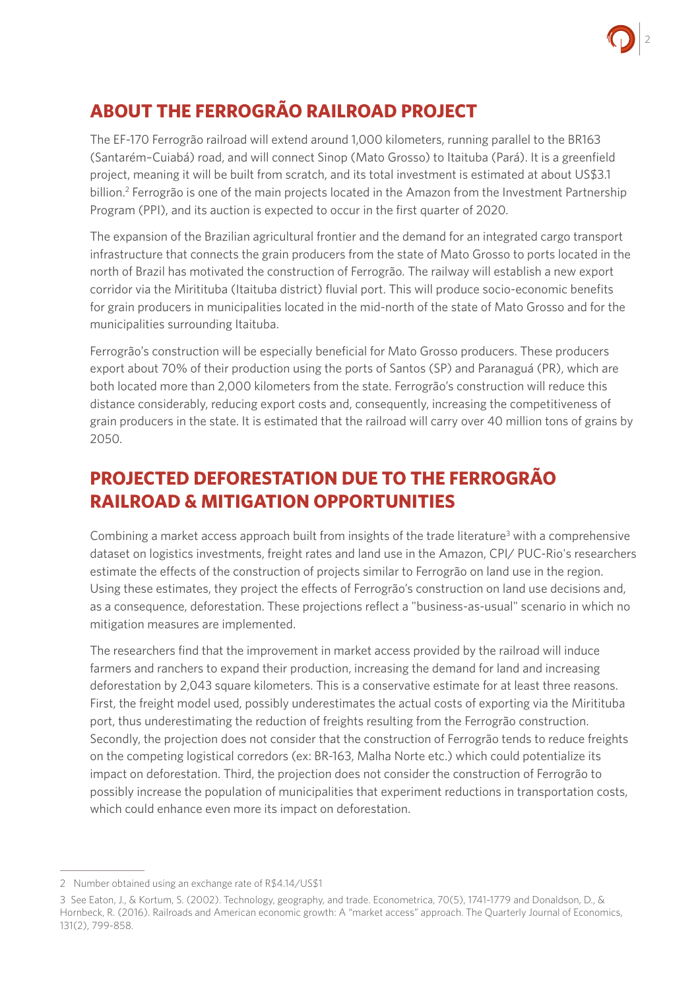

# **ABOUT THE FERROGRÃO RAILROAD PROJECT**

The EF-170 Ferrogrão railroad will extend around 1,000 kilometers, running parallel to the BR163 (Santarém–Cuiabá) road, and will connect Sinop (Mato Grosso) to Itaituba (Pará). It is a greenfield project, meaning it will be built from scratch, and its total investment is estimated at about US\$3.1 billion.<sup>2</sup> Ferrogrão is one of the main projects located in the Amazon from the Investment Partnership Program (PPI), and its auction is expected to occur in the first quarter of 2020.

The expansion of the Brazilian agricultural frontier and the demand for an integrated cargo transport infrastructure that connects the grain producers from the state of Mato Grosso to ports located in the north of Brazil has motivated the construction of Ferrogrão. The railway will establish a new export corridor via the Miritituba (Itaituba district) fluvial port. This will produce socio-economic benefits for grain producers in municipalities located in the mid-north of the state of Mato Grosso and for the municipalities surrounding Itaituba.

Ferrogrão's construction will be especially beneficial for Mato Grosso producers. These producers export about 70% of their production using the ports of Santos (SP) and Paranaguá (PR), which are both located more than 2,000 kilometers from the state. Ferrogrão's construction will reduce this distance considerably, reducing export costs and, consequently, increasing the competitiveness of grain producers in the state. It is estimated that the railroad will carry over 40 million tons of grains by 2050.

### **PROJECTED DEFORESTATION DUE TO THE FERROGRÃO RAILROAD & MITIGATION OPPORTUNITIES**

Combining a market access approach built from insights of the trade literature<sup>3</sup> with a comprehensive dataset on logistics investments, freight rates and land use in the Amazon, CPI/ PUC-Rio's researchers estimate the effects of the construction of projects similar to Ferrogrão on land use in the region. Using these estimates, they project the effects of Ferrogrão's construction on land use decisions and, as a consequence, deforestation. These projections reflect a "business-as-usual" scenario in which no mitigation measures are implemented.

The researchers find that the improvement in market access provided by the railroad will induce farmers and ranchers to expand their production, increasing the demand for land and increasing deforestation by 2,043 square kilometers. This is a conservative estimate for at least three reasons. First, the freight model used, possibly underestimates the actual costs of exporting via the Miritituba port, thus underestimating the reduction of freights resulting from the Ferrogrão construction. Secondly, the projection does not consider that the construction of Ferrogrão tends to reduce freights on the competing logistical corredors (ex: BR-163, Malha Norte etc.) which could potentialize its impact on deforestation. Third, the projection does not consider the construction of Ferrogrão to possibly increase the population of municipalities that experiment reductions in transportation costs, which could enhance even more its impact on deforestation.

<sup>2</sup>  Number obtained using an exchange rate of R\$4.14/US\$1

<sup>3</sup> See Eaton, J., & Kortum, S. (2002). Technology, geography, and trade. Econometrica, 70(5), 1741-1779 and Donaldson, D., & Hornbeck, R. (2016). Railroads and American economic growth: A "market access" approach. The Quarterly Journal of Economics, 131(2), 799-858.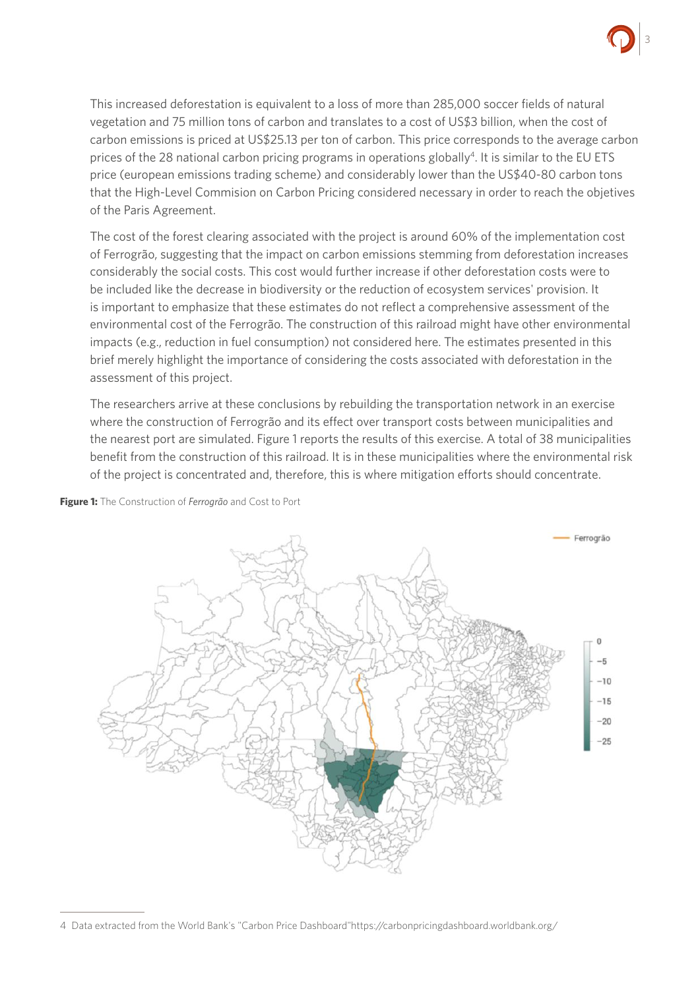

This increased deforestation is equivalent to a loss of more than 285,000 soccer fields of natural vegetation and 75 million tons of carbon and translates to a cost of US\$3 billion, when the cost of carbon emissions is priced at US\$25.13 per ton of carbon. This price corresponds to the average carbon prices of the 28 national carbon pricing programs in operations globally<sup>4</sup>. It is similar to the EU ETS price (european emissions trading scheme) and considerably lower than the US\$40-80 carbon tons that the High-Level Commision on Carbon Pricing considered necessary in order to reach the objetives of the Paris Agreement.

The cost of the forest clearing associated with the project is around 60% of the implementation cost of Ferrogrão, suggesting that the impact on carbon emissions stemming from deforestation increases considerably the social costs. This cost would further increase if other deforestation costs were to be included like the decrease in biodiversity or the reduction of ecosystem services' provision. It is important to emphasize that these estimates do not reflect a comprehensive assessment of the environmental cost of the Ferrogrão. The construction of this railroad might have other environmental impacts (e.g., reduction in fuel consumption) not considered here. The estimates presented in this brief merely highlight the importance of considering the costs associated with deforestation in the assessment of this project.

The researchers arrive at these conclusions by rebuilding the transportation network in an exercise where the construction of Ferrogrão and its effect over transport costs between municipalities and the nearest port are simulated. Figure 1 reports the results of this exercise. A total of 38 municipalities benefit from the construction of this railroad. It is in these municipalities where the environmental risk of the project is concentrated and, therefore, this is where mitigation efforts should concentrate.



**Figure 1:** The Construction of *Ferrogrão* and Cost to Port

<sup>4</sup> Data extracted from the World Bank's "Carbon Price Dashboard"https://carbonpricingdashboard.worldbank.org/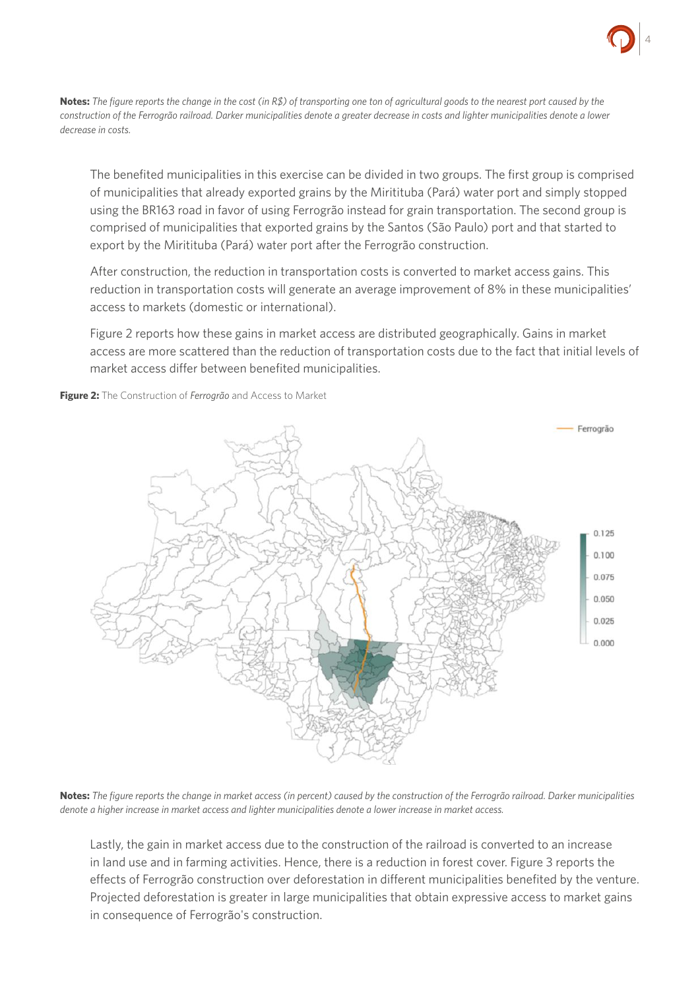

**Notes:** *The figure reports the change in the cost (in R\$) of transporting one ton of agricultural goods to the nearest port caused by the construction of the Ferrogrão railroad. Darker municipalities denote a greater decrease in costs and lighter municipalities denote a lower decrease in costs.*

The benefited municipalities in this exercise can be divided in two groups. The first group is comprised of municipalities that already exported grains by the Miritituba (Pará) water port and simply stopped using the BR163 road in favor of using Ferrogrão instead for grain transportation. The second group is comprised of municipalities that exported grains by the Santos (São Paulo) port and that started to export by the Miritituba (Pará) water port after the Ferrogrão construction.

After construction, the reduction in transportation costs is converted to market access gains. This reduction in transportation costs will generate an average improvement of 8% in these municipalities' access to markets (domestic or international).

Figure 2 reports how these gains in market access are distributed geographically. Gains in market access are more scattered than the reduction of transportation costs due to the fact that initial levels of market access differ between benefited municipalities.

Ferrogrão 0.125 0.100 0.075 0.050  $0.025$  $0.000$ 

**Figure 2:** The Construction of *Ferrogrão* and Access to Market

**Notes:** *The figure reports the change in market access (in percent) caused by the construction of the Ferrogrão railroad. Darker municipalities denote a higher increase in market access and lighter municipalities denote a lower increase in market access.*

Lastly, the gain in market access due to the construction of the railroad is converted to an increase in land use and in farming activities. Hence, there is a reduction in forest cover. Figure 3 reports the effects of Ferrogrão construction over deforestation in different municipalities benefited by the venture. Projected deforestation is greater in large municipalities that obtain expressive access to market gains in consequence of Ferrogrão's construction.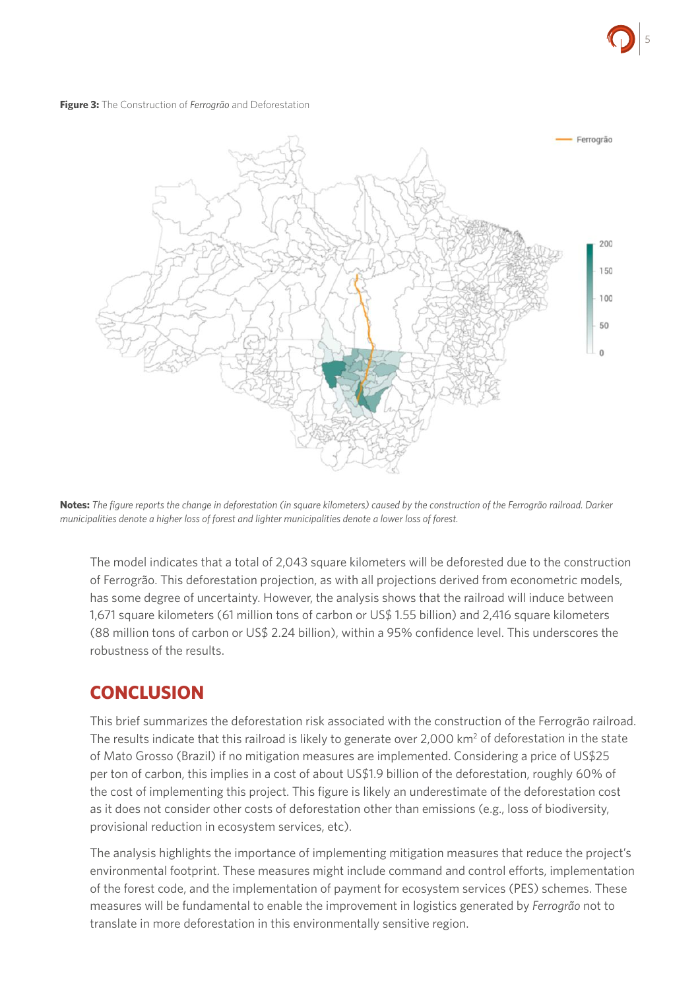

#### **Figure 3:** The Construction of *Ferrogrão* and Deforestation



**Notes:** *The figure reports the change in deforestation (in square kilometers) caused by the construction of the Ferrogrão railroad. Darker municipalities denote a higher loss of forest and lighter municipalities denote a lower loss of forest.*

The model indicates that a total of 2,043 square kilometers will be deforested due to the construction of Ferrogrão. This deforestation projection, as with all projections derived from econometric models, has some degree of uncertainty. However, the analysis shows that the railroad will induce between 1,671 square kilometers (61 million tons of carbon or US\$ 1.55 billion) and 2,416 square kilometers (88 million tons of carbon or US\$ 2.24 billion), within a 95% confidence level. This underscores the robustness of the results.

### **CONCLUSION**

This brief summarizes the deforestation risk associated with the construction of the Ferrogrão railroad. The results indicate that this railroad is likely to generate over 2,000 km<sup>2</sup> of deforestation in the state of Mato Grosso (Brazil) if no mitigation measures are implemented. Considering a price of US\$25 per ton of carbon, this implies in a cost of about US\$1.9 billion of the deforestation, roughly 60% of the cost of implementing this project. This figure is likely an underestimate of the deforestation cost as it does not consider other costs of deforestation other than emissions (e.g., loss of biodiversity, provisional reduction in ecosystem services, etc).

The analysis highlights the importance of implementing mitigation measures that reduce the project's environmental footprint. These measures might include command and control efforts, implementation of the forest code, and the implementation of payment for ecosystem services (PES) schemes. These measures will be fundamental to enable the improvement in logistics generated by *Ferrogrão* not to translate in more deforestation in this environmentally sensitive region.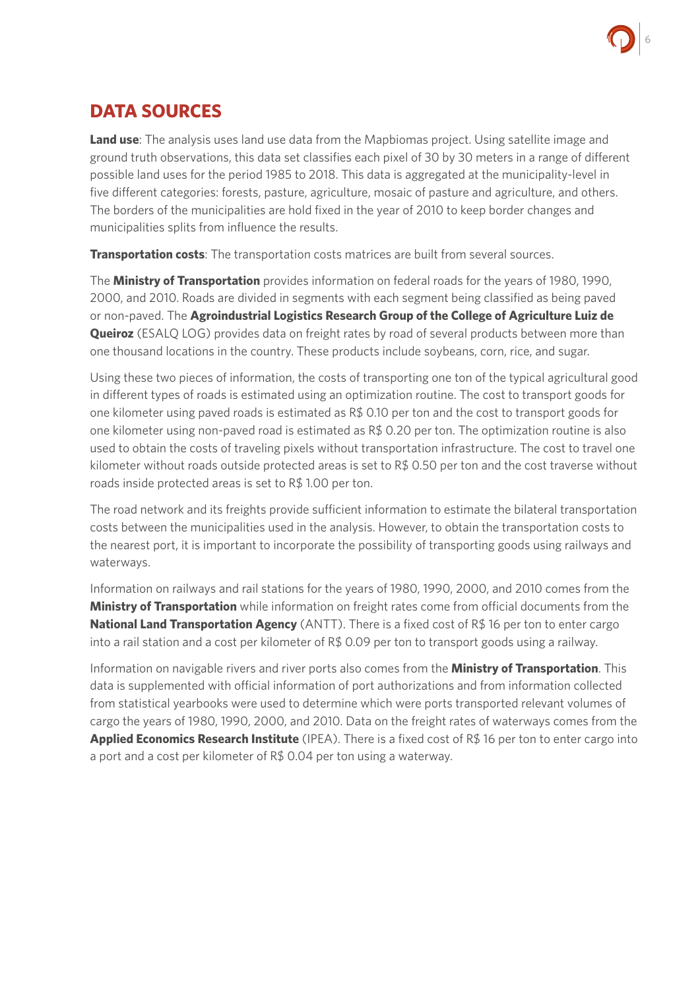

### **DATA SOURCES**

**Land use**: The analysis uses land use data from the Mapbiomas project. Using satellite image and ground truth observations, this data set classifies each pixel of 30 by 30 meters in a range of different possible land uses for the period 1985 to 2018. This data is aggregated at the municipality-level in five different categories: forests, pasture, agriculture, mosaic of pasture and agriculture, and others. The borders of the municipalities are hold fixed in the year of 2010 to keep border changes and municipalities splits from influence the results.

**Transportation costs**: The transportation costs matrices are built from several sources.

The **Ministry of Transportation** provides information on federal roads for the years of 1980, 1990, 2000, and 2010. Roads are divided in segments with each segment being classified as being paved or non-paved. The **Agroindustrial Logistics Research Group of the College of Agriculture Luiz de Queiroz** (ESALQ LOG) provides data on freight rates by road of several products between more than one thousand locations in the country. These products include soybeans, corn, rice, and sugar.

Using these two pieces of information, the costs of transporting one ton of the typical agricultural good in different types of roads is estimated using an optimization routine. The cost to transport goods for one kilometer using paved roads is estimated as R\$ 0.10 per ton and the cost to transport goods for one kilometer using non-paved road is estimated as R\$ 0.20 per ton. The optimization routine is also used to obtain the costs of traveling pixels without transportation infrastructure. The cost to travel one kilometer without roads outside protected areas is set to  $R\$  0.50 per ton and the cost traverse without roads inside protected areas is set to R\$ 1.00 per ton.

The road network and its freights provide sufficient information to estimate the bilateral transportation costs between the municipalities used in the analysis. However, to obtain the transportation costs to the nearest port, it is important to incorporate the possibility of transporting goods using railways and waterways.

Information on railways and rail stations for the years of 1980, 1990, 2000, and 2010 comes from the **Ministry of Transportation** while information on freight rates come from official documents from the **National Land Transportation Agency** (ANTT). There is a fixed cost of R\$ 16 per ton to enter cargo into a rail station and a cost per kilometer of R\$ 0.09 per ton to transport goods using a railway.

Information on navigable rivers and river ports also comes from the **Ministry of Transportation**. This data is supplemented with official information of port authorizations and from information collected from statistical yearbooks were used to determine which were ports transported relevant volumes of cargo the years of 1980, 1990, 2000, and 2010. Data on the freight rates of waterways comes from the **Applied Economics Research Institute** (IPEA). There is a fixed cost of R\$ 16 per ton to enter cargo into a port and a cost per kilometer of R\$ 0.04 per ton using a waterway.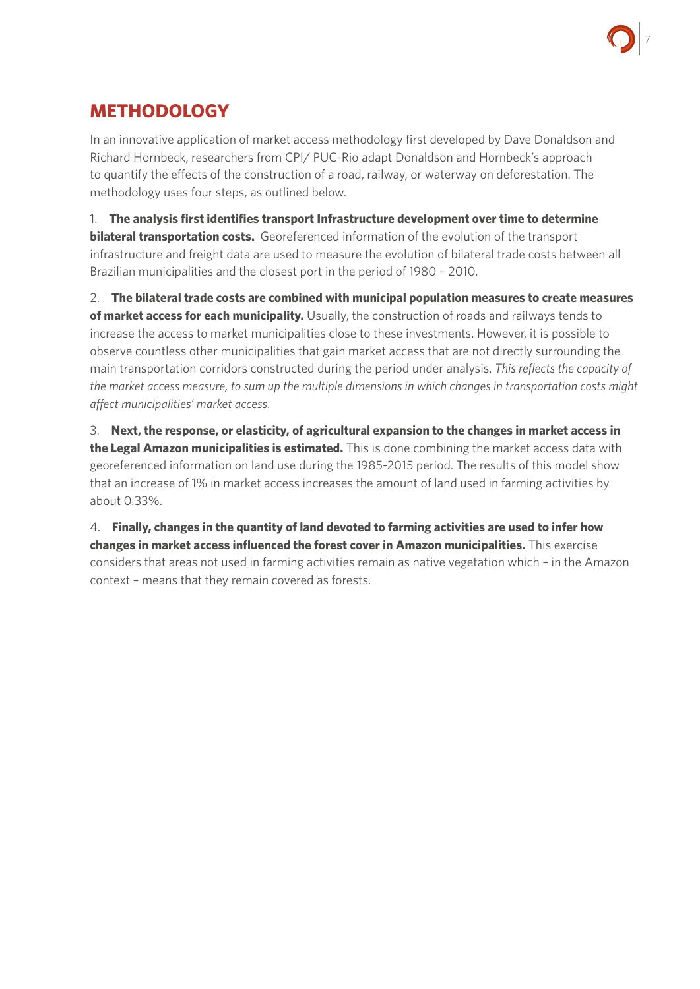

## **METHODOLOGY**

In an innovative application of market access methodology first developed by Dave Donaldson and Richard Hornbeck, researchers from CPI/ PUC-Rio adapt Donaldson and Hornbeck's approach to quantify the effects of the construction of a road, railway, or waterway on deforestation. The methodology uses four steps, as outlined below.

1. **The analysis first identifies transport Infrastructure development over time to determine bilateral transportation costs.** Georeferenced information of the evolution of the transport infrastructure and freight data are used to measure the evolution of bilateral trade costs between all Brazilian municipalities and the closest port in the period of 1980 – 2010.

2. **The bilateral trade costs are combined with municipal population measures to create measures of market access for each municipality.** Usually, the construction of roads and railways tends to increase the access to market municipalities close to these investments. However, it is possible to observe countless other municipalities that gain market access that are not directly surrounding the main transportation corridors constructed during the period under analysis. *This reflects the capacity of the market access measure, to sum up the multiple dimensions in which changes in transportation costs might affect municipalities' market access*.

3. **Next, the response, or elasticity, of agricultural expansion to the changes in market access in the Legal Amazon municipalities is estimated.** This is done combining the market access data with georeferenced information on land use during the 1985-2015 period. The results of this model show that an increase of 1% in market access increases the amount of land used in farming activities by about 0.33%.

4. **Finally, changes in the quantity of land devoted to farming activities are used to infer how changes in market access influenced the forest cover in Amazon municipalities.** This exercise considers that areas not used in farming activities remain as native vegetation which – in the Amazon context – means that they remain covered as forests.